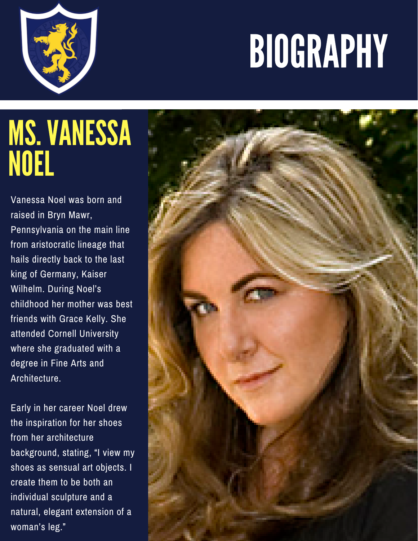## BIOGRAPHY



## MS.VANESSA NOEL

Vanessa Noel was born and raised in Bryn Mawr, Pennsylvania on the main line from aristocratic lineage that hails directly back to the last king of Germany, Kaiser Wilhelm. During Noel's childhood her mother was best friends with Grace Kelly. She attended Cornell University where she graduated with a degree in Fine Arts and Architecture.

Early in her career Noel drew the inspiration for her shoes from her architecture background, stating, "I view my shoes as sensual art objects. I create them to be both an individual sculpture and a natural, elegant extension of a woman's leg."